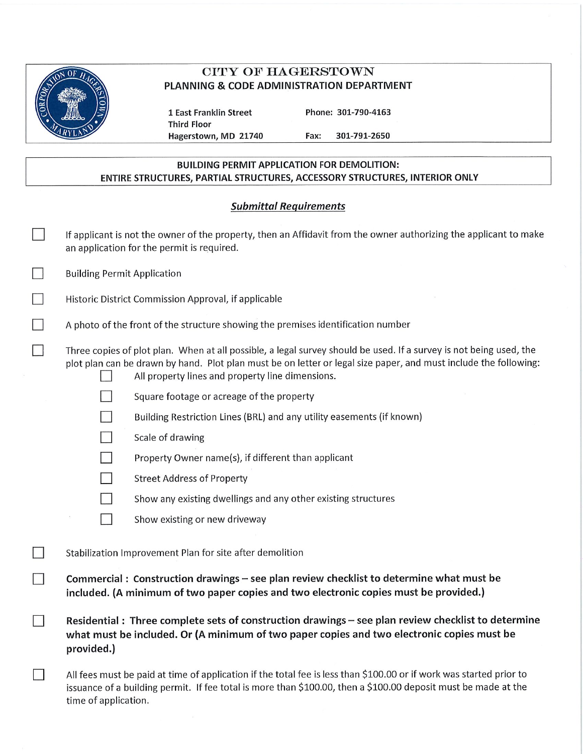

# **CITY OF HAGERSTOWN** PLANNING & CODE ADMINISTRATION DEPARTMENT

1 East Franklin Street **Third Floor** Hagerstown, MD 21740 Phone: 301-790-4163

301-791-2650 Fax:

## **BUILDING PERMIT APPLICATION FOR DEMOLITION:** ENTIRE STRUCTURES, PARTIAL STRUCTURES, ACCESSORY STRUCTURES, INTERIOR ONLY

# **Submittal Requirements**

|        | If applicant is not the owner of the property, then an Affidavit from the owner authorizing the applicant to make<br>an application for the permit is required.                                                                                                                            |  |  |
|--------|--------------------------------------------------------------------------------------------------------------------------------------------------------------------------------------------------------------------------------------------------------------------------------------------|--|--|
| $\Box$ | <b>Building Permit Application</b>                                                                                                                                                                                                                                                         |  |  |
|        | Historic District Commission Approval, if applicable                                                                                                                                                                                                                                       |  |  |
|        | A photo of the front of the structure showing the premises identification number                                                                                                                                                                                                           |  |  |
|        | Three copies of plot plan. When at all possible, a legal survey should be used. If a survey is not being used, the<br>plot plan can be drawn by hand. Plot plan must be on letter or legal size paper, and must include the following:<br>All property lines and property line dimensions. |  |  |
|        | Square footage or acreage of the property                                                                                                                                                                                                                                                  |  |  |
|        | Building Restriction Lines (BRL) and any utility easements (if known)                                                                                                                                                                                                                      |  |  |
|        | Scale of drawing                                                                                                                                                                                                                                                                           |  |  |
|        | Property Owner name(s), if different than applicant                                                                                                                                                                                                                                        |  |  |
|        | <b>Street Address of Property</b>                                                                                                                                                                                                                                                          |  |  |
|        | Show any existing dwellings and any other existing structures                                                                                                                                                                                                                              |  |  |
|        | Show existing or new driveway                                                                                                                                                                                                                                                              |  |  |
|        | Stabilization Improvement Plan for site after demolition                                                                                                                                                                                                                                   |  |  |
|        | Commercial: Construction drawings - see plan review checklist to determine what must be<br>included. (A minimum of two paper copies and two electronic copies must be provided.)                                                                                                           |  |  |
|        | Residential: Three complete sets of construction drawings - see plan review checklist to determine<br>what must be included. Or (A minimum of two paper copies and two electronic copies must be<br>provided.)                                                                             |  |  |
|        | All fees must be paid at time of application if the total fee is less than \$100.00 or if work was started prior to<br>issuance of a building permit. If fee total is more than \$100.00, then a \$100.00 deposit must be made at the<br>time of application.                              |  |  |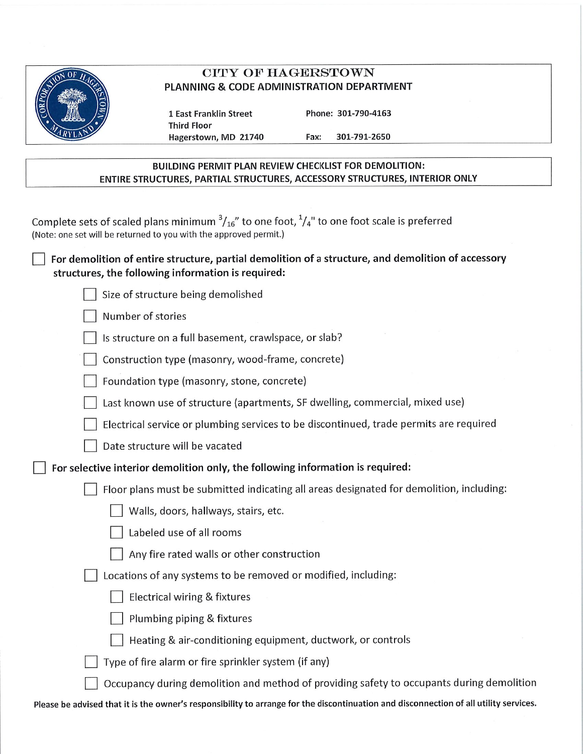

## CITY OF HAGERSTOWN PLANNING & CODE ADMINISTRATION DEPARTMENT

1 East Franklin Street **Third Floor** Hagerstown, MD 21740 Phone: 301-790-4163

301-791-2650

### **BUILDING PERMIT PLAN REVIEW CHECKLIST FOR DEMOLITION:** ENTIRE STRUCTURES, PARTIAL STRUCTURES, ACCESSORY STRUCTURES, INTERIOR ONLY

Fax:

Please be advised that it is the owner's responsibility to arrange for the discontinuation and disconnection of all utility services.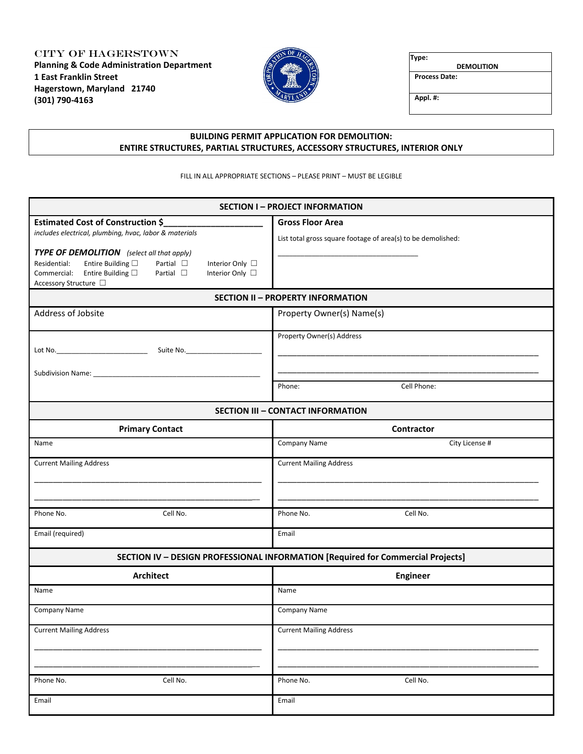CITY OF HAGERSTOWN **Planning & Code Administration Department 1 East Franklin Street Hagerstown, Maryland 21740 (301) 790-4163**



**Type:** 

 **DEMOLITION**

**Process Date:**

**Appl. #:**

### **BUILDING PERMIT APPLICATION FOR DEMOLITION: ENTIRE STRUCTURES, PARTIAL STRUCTURES, ACCESSORY STRUCTURES, INTERIOR ONLY**

FILL IN ALL APPROPRIATE SECTIONS – PLEASE PRINT – MUST BE LEGIBLE

| <b>SECTION I-PROJECT INFORMATION</b>                                                                             |                                                              |  |  |  |  |
|------------------------------------------------------------------------------------------------------------------|--------------------------------------------------------------|--|--|--|--|
| <b>Estimated Cost of Construction \$</b>                                                                         | <b>Gross Floor Area</b>                                      |  |  |  |  |
| includes electrical, plumbing, hvac, labor & materials                                                           | List total gross square footage of area(s) to be demolished: |  |  |  |  |
| TYPE OF DEMOLITION (select all that apply)                                                                       |                                                              |  |  |  |  |
| Entire Building $\Box$<br>Partial $\square$<br>Residential:<br>Interior Only □                                   |                                                              |  |  |  |  |
| Entire Building $\square$<br>Partial $\square$<br>Commercial:<br>Interior Only □<br>Accessory Structure $\ \Box$ |                                                              |  |  |  |  |
| <b>SECTION II - PROPERTY INFORMATION</b>                                                                         |                                                              |  |  |  |  |
| Address of Jobsite                                                                                               | Property Owner(s) Name(s)                                    |  |  |  |  |
|                                                                                                                  | Property Owner(s) Address                                    |  |  |  |  |
|                                                                                                                  |                                                              |  |  |  |  |
|                                                                                                                  |                                                              |  |  |  |  |
|                                                                                                                  | Cell Phone:<br>Phone:                                        |  |  |  |  |
|                                                                                                                  |                                                              |  |  |  |  |
|                                                                                                                  | <b>SECTION III - CONTACT INFORMATION</b>                     |  |  |  |  |
| <b>Primary Contact</b>                                                                                           | Contractor                                                   |  |  |  |  |
| Name                                                                                                             | Company Name<br>City License #                               |  |  |  |  |
| <b>Current Mailing Address</b>                                                                                   | <b>Current Mailing Address</b>                               |  |  |  |  |
|                                                                                                                  |                                                              |  |  |  |  |
|                                                                                                                  |                                                              |  |  |  |  |
| Cell No.<br>Phone No.                                                                                            | Cell No.<br>Phone No.                                        |  |  |  |  |
|                                                                                                                  |                                                              |  |  |  |  |
| Email (required)                                                                                                 | Email                                                        |  |  |  |  |
| SECTION IV - DESIGN PROFESSIONAL INFORMATION [Required for Commercial Projects]                                  |                                                              |  |  |  |  |
| <b>Architect</b>                                                                                                 | <b>Engineer</b>                                              |  |  |  |  |
| Name                                                                                                             | Name                                                         |  |  |  |  |
| Company Name                                                                                                     | <b>Company Name</b>                                          |  |  |  |  |
| <b>Current Mailing Address</b>                                                                                   | <b>Current Mailing Address</b>                               |  |  |  |  |
|                                                                                                                  |                                                              |  |  |  |  |
|                                                                                                                  |                                                              |  |  |  |  |
| Cell No.<br>Phone No.                                                                                            | Cell No.<br>Phone No.                                        |  |  |  |  |
| Email                                                                                                            | Email                                                        |  |  |  |  |